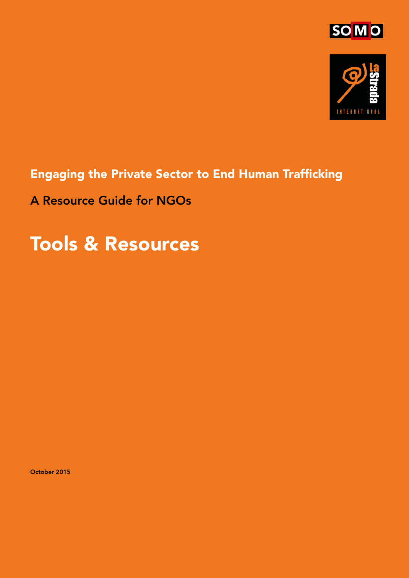



## Engaging the Private Sector to End Human Trafficking

A Resource Guide for NGOs

## Tools & Resources

October 2015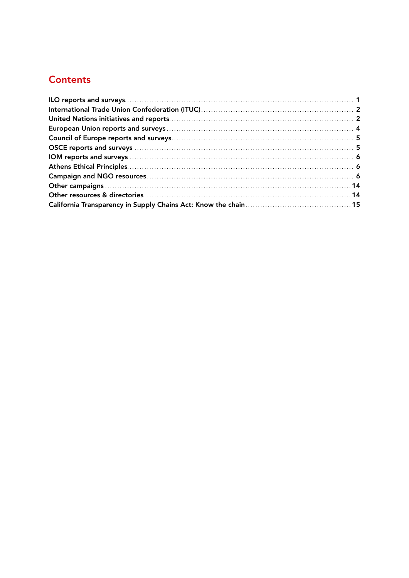#### **Contents**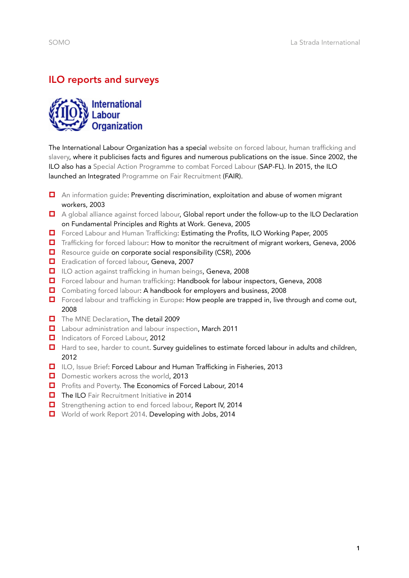### <span id="page-2-0"></span>ILO reports and surveys

**International**<br>Labour **Organization** 

The International Labour Organization has a special website on forced labour, human trafficking and [slavery,](http://www.ilo.org/global/topics/forced-labour/lang--en/index.htm) where it publicises facts and figures and numerous publications on the issue. Since 2002, the ILO also has a [Special Action Programme to combat Forced Labour](http://www.ilo.org/global/topics/forced-labour/WCMS_210827/lang--en/index.htm) (SAP-FL). In 2015, the ILO launched an Integrated [Programme on Fair Recruitment](http://www.ilo.org/global/topics/labour-migration/projects/WCMS_405819/lang--en/index.htm) (FAIR).

- [An information guide:](http://www.ilo.org/employment/Whatwedo/Instructionmaterials/WCMS_116358/lang--en/index.htm) Preventing discrimination, exploitation and abuse of women migrant workers, 2003
- $\Box$  [A global alliance against forced labour](http://www.ilo.org/global/publications/ilo-bookstore/order-online/books/WCMS_081882/lang--en/index.htm), Global report under the follow-up to the ILO Declaration on Fundamental Principles and Rights at Work. Geneva, 2005
- [Forced Labour and Human Trafficking](http://www.ilo.org/wcmsp5/groups/public/@ed_norm/@declaration/documents/publication/wcms_081971.pdf): Estimating the Profits, ILO Working Paper, 2005
- [Trafficking for forced labour:](http://www.diversiteit.be/diversiteit/files/File/MH_TEH/documentatie/DECLARATIONWEB.DOWNLOAD_BLOB.pdf) How to monitor the recruitment of migrant workers, Geneva, 2006
- [Resource guide](http://www.ilo.org/public/english/support/lib/resource/subject/csr.htm) on corporate social responsibility (CSR), 2006
- [Eradication of forced labour](http://www.ilo.org/wcmsp5/groups/public/---ed_norm/---relconf/documents/meetingdocument/wcms_089199.pdf), Geneva, 2007
- [ILO action against trafficking in human beings](http://www.ilo.org/wcmsp5/groups/public/@ed_norm/@declaration/documents/publication/wcms_090356.pdf), Geneva, 2008
- [Forced labour and human trafficking](http://www.ilo.org/wcmsp5/groups/public/---ed_norm/---declaration/documents/publication/wcms_097835.pdf): Handbook for labour inspectors, Geneva, 2008
- [Combating forced labour](http://www.ilo.org/wcmsp5/groups/public/---ed_norm/---declaration/documents/publication/wcms_101171.pdf): A handbook for employers and business, 2008
- □ [Forced labour and trafficking in Europe:](http://www.ilo.org/wcmsp5/groups/public/@ed_norm/@declaration/documents/publication/wcms_090548.pdf) How people are trapped in, live through and come out, 2008
- [The MNE Declaration,](http://www.ilo.org/wcmsp5/groups/public/---ed_emp/---emp_ent/---multi/documents/publication/wcms_116338.pdf) The detail 2009
- **[Labour administration and labour inspection](http://www.ilo.org/ilc/ILCSessions/100thSession/reports/reports-submitted/WCMS_153918/lang--en/index.htm), March 2011**
- [Indicators of Forced Labour,](http://www.ilo.org/global/topics/forced-labour/publications/WCMS_203832/lang--en/index.htm) 2012
- □ [Hard to see, harder to count.](http://www.ilo.org/wcmsp5/groups/public/---ed_norm/---declaration/documents/publication/wcms_182096.pdf) Survey guidelines to estimate forced labour in adults and children, 2012
- [ILO, Issue Brief](http://www.ilo.org/wcmsp5/groups/public/---ed_norm/---declaration/documents/publication/wcms_216003.pdf): Forced Labour and Human Trafficking in Fisheries, 2013
- D [Domestic workers across the world,](http://lastradainternational.org/lsidocs/Domestic workers across the world Global and regional statistics.pdf) 2013
- **D** [Profits and Poverty.](http://www.ilo.org/wcmsp5/groups/public/---ed_norm/---declaration/documents/publication/wcms_243391.pdf) The Economics of Forced Labour, 2014
- The ILO [Fair Recruitment Initiative](http://www.ilo.org/wcmsp5/groups/public/---ed_norm/---declaration/documents/publication/wcms_320405.pdf) in 2014
- [Strengthening action to end forced labour,](http://www.ilo.org/wcmsp5/groups/public/---ed_norm/---relconf/documents/meetingdocument/wcms_217752.pdf) Report IV, 2014
- [World of work Report 2014.](http://www.ilo.org/wcmsp5/groups/public/---dgreports/---dcomm/documents/publication/wcms_243961.pdf) Developing with Jobs, 2014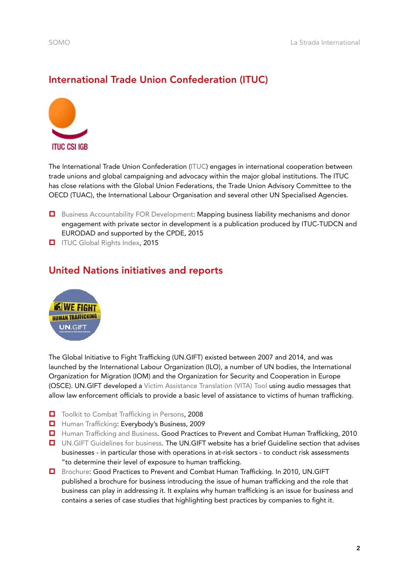#### <span id="page-3-0"></span>International Trade Union Confederation (ITUC)



The International Trade Union Confederation ([ITUC](http://www.ituc-csi.org/?lang=en)) engages in international cooperation between trade unions and global campaigning and advocacy within the major global institutions. The ITUC has close relations with the Global Union Federations, the Trade Union Advisory Committee to the OECD (TUAC), the International Labour Organisation and several other UN Specialised Agencies.

- **D** [Business Accountability FOR Development](http://www.csopartnership.org/news/business-accountability-for-development-ituc-tudcneurodad-publication-supported-by-cpde/): Mapping business liability mechanisms and donor engagement with private sector in development is a publication produced by ITUC-TUDCN and EURODAD and supported by the CPDE, 2015
- **[ITUC Global Rights Index,](http://www.ituc-csi.org/ituc-global-rights-index-2015) 2015**

#### United Nations initiatives and reports



The Global Initiative to Fight Trafficking (UN.GIFT) existed between 2007 and 2014, and was launched by the International Labour Organization (ILO), a number of UN bodies, the International Organization for Migration (IOM) and the Organization for Security and Cooperation in Europe (OSCE). UN.GIFT developed a [Victim Assistance Translation \(VITA\) Tool](http://www.ungift.org/knowledgehub/en/tools/vita.html) using audio messages that allow law enforcement officials to provide a basic level of assistance to victims of human trafficking.

- [Toolkit to Combat Trafficking in Persons](https://www.unodc.org/documents/human-trafficking/Toolkit-files/07-89375_Ebook%5B1%5D.pdf), 2008
- [Human Trafficking](http://www.ungift.org/docs/ungift/pdf/reports/Story_Survey.pdf): Everybody's Business, 2009
- **[Human Trafficking and Business.](http://www.ungift.org/doc/knowledgehub/resource-centre/GIFT_Human_Trafficking_and_business.pdf) Good Practices to Prevent and Combat Human Trafficking, 2010**
- [UN.GIFT Guidelines for business.](http://www.ungift.org/knowledgehub/en/business/guidelines.html) The UN.GIFT website has a brief Guideline section that advises businesses - in particular those with operations in at-risk sectors - to conduct risk assessments "to determine their level of exposure to human trafficking.
- [Brochure](http://www.ungift.org/doc/knowledgehub/resource-centre/GIFT_Human_Trafficking_and_business.pdf): Good Practices to Prevent and Combat Human Trafficking. In 2010, UN.GIFT published a brochure for business introducing the issue of human trafficking and the role that business can play in addressing it. It explains why human trafficking is an issue for business and contains a series of case studies that highlighting best practices by companies to fight it.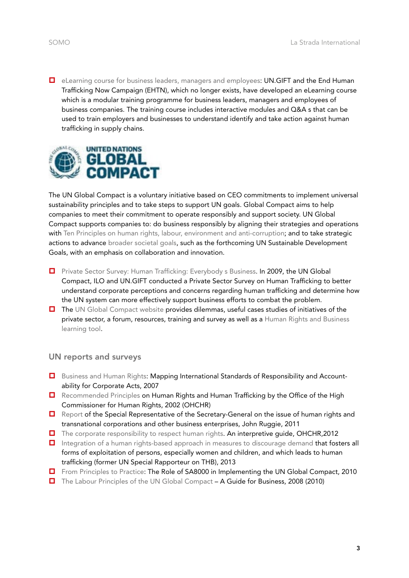**E** [eLearning course for business leaders, managers and employees:](http://www.ungift.org/knowledgehub/en/tools/elearning-tool-for-the-private-sector.html) UN.GIFT and the End Human Trafficking Now Campaign (EHTN), which no longer exists, have developed an eLearning course which is a modular training programme for business leaders, managers and employees of business companies. The training course includes interactive modules and Q&A s that can be used to train employers and businesses to understand identify and take action against human trafficking in supply chains.



The UN Global Compact is a voluntary initiative based on CEO commitments to implement universal sustainability principles and to take steps to support UN goals. Global Compact aims to help companies to meet their commitment to operate responsibly and support society. UN Global Compact supports companies to: do business responsibly by aligning their strategies and operations with [Ten Principles on human rights, labour, environment and anti-corruption;](https://www.unglobalcompact.org/what-is-gc/mission/principles) and to take strategic actions to advance [broader societal goals](https://www.unglobalcompact.org/what-is-gc/our-work/sustainable-development), such as the forthcoming UN Sustainable Development Goals, with an emphasis on collaboration and innovation.

- **D** [Private Sector Survey: Human Trafficking: Everybody s Business](http://www.ungift.org/docs/ungift/pdf/reports/Story_Survey.pdf). In 2009, the UN Global Compact, ILO and UN.GIFT conducted a Private Sector Survey on Human Trafficking to better understand corporate perceptions and concerns regarding human trafficking and determine how the UN system can more effectively support business efforts to combat the problem.
- $\Box$  The [UN Global Compact website](http://hrbdf.org/dilemmas/human-trafficking/#.Vb07X_ntlBc) provides dilemmas, useful cases studies of initiatives of the private sector, a forum, resources, training and survey as well as a [Human Rights and Business](http://human-rights-and-business-learning-tool.unglobalcompact.org/)  [learning tool.](http://human-rights-and-business-learning-tool.unglobalcompact.org/)

#### UN reports and surveys

- **D** [Business and Human Rights:](http://business-humanrights.org/sites/default/files/media/bhr/files/SRSG-report-Human-Rights-Council-19-Feb-2007.pdf) Mapping International Standards of Responsibility and Accountability for Corporate Acts, 2007
- [Recommended Principles](http://www.ohchr.org/Documents/Publications/Traffickingen.pdf) on Human Rights and Human Trafficking by the Office of the High Commissioner for Human Rights, 2002 (OHCHR)
- **D** [Report](http://www.ohchr.org/Documents/Issues/Business/A-HRC-17-31_AEV.pdf) of the Special Representative of the Secretary-General on the issue of human rights and transnational corporations and other business enterprises, John Ruggie, 2011
- [The corporate responsibility to respect human rights](http://www.ohchr.org/documents/publications/hr.pub.12.2_en.pdf). An interpretive guide, OHCHR, 2012
- **I** [Integration of a human rights-based approach in measures to discourage demand](http://daccess-dds-ny.un.org/doc/UNDOC/GEN/G13/122/82/PDF/G1312282.pdf?OpenElement) that fosters all forms of exploitation of persons, especially women and children, and which leads to human trafficking (former UN Special Rapporteur on THB), 2013
- [From Principles to Practice:](https://www.unglobalcompact.org/docs/issues_doc/labour/tools_guidance_materials/Principles_to_Practice.pdf) The Role of SA8000 in Implementing the UN Global Compact, 2010
- [The Labour Principles of the UN Global Compact](http://www.ilo.org/wcmsp5/groups/public/---ed_emp/---emp_ent/---multi/documents/instructionalmaterial/wcms_101246.pdf)  A Guide for Business, 2008 (2010)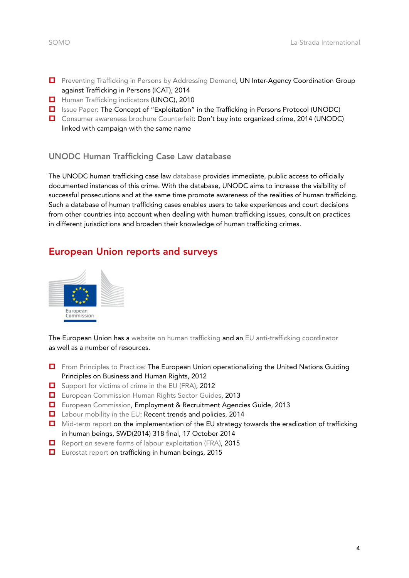- <span id="page-5-0"></span>**D** [Preventing Trafficking in Persons by Addressing Demand](http://www.unodc.org/documents/human-trafficking/2014/ICAT_Demand_paper_FINAL.pdf), UN Inter-Agency Coordination Group against Trafficking in Persons (ICAT), 2014
- [Human Trafficking indicators](http://www.unodc.org/pdf/HT_indicators_E_LOWRES.pdf) (UNOC), 2010
- **I** [Issue Paper:](http://www.unodc.org/documents/human-trafficking/2015/UNODC_IP_Exploitation_2015.pdf) The Concept of "Exploitation" in the Trafficking in Persons Protocol (UNODC)
- [Consumer awareness brochure Counterfeit:](http://www.unodc.org/counterfeit/) Don't buy into organized crime, 2014 (UNODC) linked with campaign with the same name

#### UNODC Human Trafficking Case Law database

The UNODC human trafficking case law [database](https://www.unodc.org/cld/case-law-doc/traffickingpersonscrimetype/blr/2011/case_of_nikulinas_.html?tmpl=old) provides immediate, public access to officially documented instances of this crime. With the database, UNODC aims to increase the visibility of successful prosecutions and at the same time promote awareness of the realities of human trafficking. Such a database of human trafficking cases enables users to take experiences and court decisions from other countries into account when dealing with human trafficking issues, consult on practices in different jurisdictions and broaden their knowledge of human trafficking crimes.

#### European Union reports and surveys



The European Union has a [website on human trafficking](https://ec.europa.eu/anti-trafficking/node/1_en) and an [EU anti-trafficking coordinator](https://ec.europa.eu/anti-trafficking/eu-anti-trafficking-coordinator_en) as well as a number of resources.

- $\Box$  [From Principles to Practice:](http://www.business-humanrights.org/Links/Repository/1015422) The European Union operationalizing the United Nations Guiding Principles on Business and Human Rights, 2012
- [Support for victims of crime in the EU \(FRA\),](http://fra.europa.eu/sites/default/files/fra-2015-victims-crime-eu-support_en_0.pdf) 2012
- [European Commission Human Rights Sector Guides](http://www.shiftproject.org/ec-sectoral-guides-corporate-responsibility-respect-human-rights), 2013
- [European Commission,](http://www.shiftproject.org/publication/european-commission-employment-recruitment-agencies-guide) Employment & Recruitment Agencies Guide, 2013
- [Labour mobility in the EU](http://www.eurofound.europa.eu/publications/report/2014/eu-member-states/labour-market-social-policies/labour-mobility-in-the-eu-recent-trends-and-policies): Recent trends and policies, 2014
- **I** [Mid-term report](https://ec.europa.eu/anti-trafficking/sites/antitrafficking/files/commission_staff_working_document_-_mid-term_report_on_the_implementation_of_the_eu_strategy_towards_the_eradication_of_trafficking_in_human_beings.pdf) on the implementation of the EU strategy towards the eradication of trafficking in human beings, SWD(2014) 318 final, 17 October 2014
- $\Box$  [Report on severe forms of labour exploitation \(FRA\)](http://fra.europa.eu/sites/default/files/fra-2015-severe-labour-exploitation_en.pdf), 2015
- [Eurostat report](http://ec.europa.eu/anti-trafficking/sites/antitrafficking/files/eurostat_report_on_trafficking_in_human_beings_-_2015_edition.pdf) on trafficking in human beings, 2015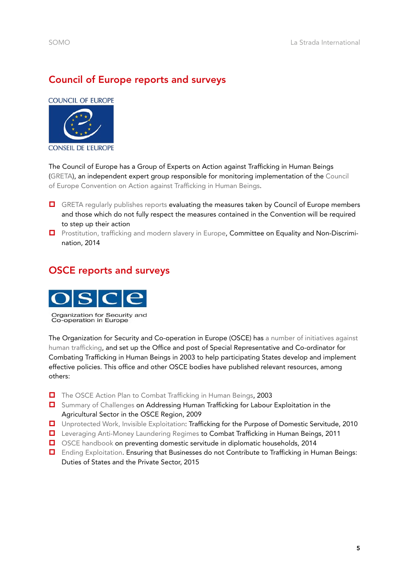#### <span id="page-6-0"></span>Council of Europe reports and surveys

**COUNCIL OF EUROPE** 



The Council of Europe has a Group of Experts on Action against Trafficking in Human Beings [\(GRETA\)](https://www.coe.int/t/dghl/monitoring/trafficking/Docs/Monitoring/GRETA_en.asp), an independent expert group responsible for monitoring implementation of the [Council](http://www.coe.int/t/dghl/monitoring/trafficking/Docs/Convntn/CETS197_en.asp#TopOfPage)  [of Europe Convention on Action against Trafficking in Human Beings](http://www.coe.int/t/dghl/monitoring/trafficking/Docs/Convntn/CETS197_en.asp#TopOfPage).

- **D** [GRETA regularly publishes reports](http://www.coe.int/t/dghl/monitoring/trafficking/Docs/Publications/Evaluations_en.asp) evaluating the measures taken by Council of Europe members and those which do not fully respect the measures contained in the Convention will be required to step up their action
- **D** [Prostitution, trafficking and modern slavery in Europe,](http://assembly.coe.int/nw/xml/XRef/X2H-Xref-ViewPDF.asp?FileID=20559&Lang=EN) Committee on Equality and Non-Discrimination, 2014

#### OSCE reports and surveys



Organization for Security and<br>Co-operation in Europe

The Organization for Security and Co-operation in Europe (OSCE) has a number of initiatives against [human trafficking,](http://www.osce.org/secretariat/trafficking) and set up the Office and post of Special Representative and Co-ordinator for Combating Trafficking in Human Beings in 2003 to help participating States develop and implement effective policies. This office and other OSCE bodies have published relevant resources, among others:

- [The OSCE Action Plan to Combat Trafficking in Human Beings,](https://www.osce.org/actionplan?download=true) 2003
- [Summary of Challenges](http://www.osce.org/cthb/37937?download=true) on Addressing Human Trafficking for Labour Exploitation in the Agricultural Sector in the OSCE Region, 2009
- [Unprotected Work, Invisible Exploitation:](http://www.osce.org/secretariat/75804?download=true) Trafficking for the Purpose of Domestic Servitude, 2010
- [Leveraging Anti-Money Laundering Regimes](http://www.osce.org/secretariat/121125?download=true) to Combat Trafficking in Human Beings, 2011
- □ [OSCE handbook](http://www.osce.org/handbook/domesticservitude?download=true) on preventing domestic servitude in diplomatic households, 2014
- [Ending Exploitation](http://www.osce.org/secretariat/126305). Ensuring that Businesses do not Contribute to Trafficking in Human Beings: Duties of States and the Private Sector, 2015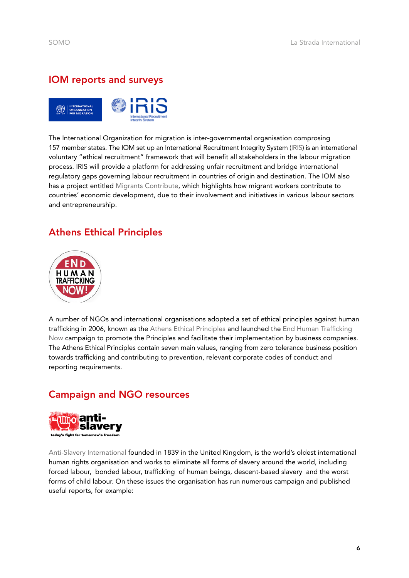#### <span id="page-7-0"></span>IOM reports and surveys



The International Organization for migration is inter-governmental organisation comprosing 157 member states. The IOM set up an International Recruitment Integrity System ([IRIS](http://iris.iom.int/)) is an international voluntary "ethical recruitment" framework that will benefit all stakeholders in the labour migration process. IRIS will provide a platform for addressing unfair recruitment and bridge international regulatory gaps governing labour recruitment in countries of origin and destination. The IOM also has a project entitled [Migrants Contribute,](http://www.migrantscontribute.com/) which highlights how migrant workers contribute to countries' economic development, due to their involvement and initiatives in various labour sectors and entrepreneurship.

#### Athens Ethical Principles



A number of NGOs and international organisations adopted a set of ethical principles against human trafficking in 2006, known as the [Athens Ethical Principles](http://www.ungift.org/docs/ungift/pdf/Athens_principles.pdf) and launched the [End Human Trafficking](http://endhtnow.com/)  [Now](http://endhtnow.com/) campaign to promote the Principles and facilitate their implementation by business companies. The Athens Ethical Principles contain seven main values, ranging from zero tolerance business position towards trafficking and contributing to prevention, relevant corporate codes of conduct and reporting requirements.

#### Campaign and NGO resources



[Anti-Slavery International](http://www.antislavery.org) founded in 1839 in the United Kingdom, is the world's oldest international human rights organisation and works to eliminate all forms of slavery around the world, including [forced labour,](http://www.antislavery.org/english/slavery_today/forced_labour/default.aspx)  [bonded labour,](http://www.antislavery.org/english/slavery_today/bonded_labour/default.aspx) [trafficking](http://www.antislavery.org/english/slavery_today/trafficking/default.aspx) of human beings, [descent-based slavery](http://www.antislavery.org/english/slavery_today/descent_based_slavery/default.aspx) and the worst forms of [child labour.](http://www.antislavery.org/english/slavery_today/child_slavery/default.aspx) On these issues the organisation has run numerous campaign and published useful reports, for example: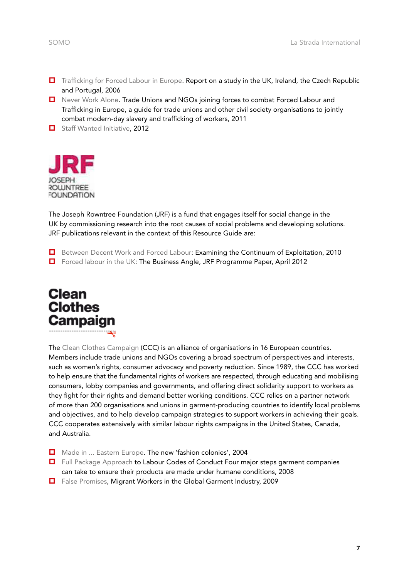- [Trafficking for Forced Labour in Europe.](http://www.antislavery.org/includes/documents/cm_docs/2009/t/trafficking_for_fl_in_europe_4_country_report.pdf) Report on a study in the UK, Ireland, the Czech Republic and Portugal, 2006
- [Never Work Alone](http://www.antislavery.org/includes/documents/cm_docs/2011/f/forced_labour_en_final.pdf). Trade Unions and NGOs joining forces to combat Forced Labour and Trafficking in Europe, a guide for trade unions and other civil society organisations to jointly combat modern-day slavery and trafficking of workers, 2011
- [Staff Wanted Initiative,](http://www.antislavery.org/english/what_we_do/working_with_business/staff_wanted_initiative.aspx) 2012



The Joseph Rowntree Foundation (JRF) is a fund that engages itself for social change in the UK by commissioning research into the root causes of social problems and developing solutions. JRF publications relevant in the context of this Resource Guide are:

- **D** [Between Decent Work and Forced Labour:](http://www.jrf.org.uk/sites/files/jrf/forced-labour-exploitation-full.pdf) Examining the Continuum of Exploitation, 2010
- □ [Forced labour in the UK](http://www.jrf.org.uk/publications/forced-labour-uk-business-angle): The Business Angle, JRF Programme Paper, April 2012



The [Clean Clothes Campaign](http://www.cleanclothes.org/about/who-we-are) (CCC) is an alliance of organisations in 16 European countries. Members include trade unions and NGOs covering a broad spectrum of perspectives and interests, such as women's rights, consumer advocacy and poverty reduction. Since 1989, the CCC has worked to help ensure that the fundamental rights of workers are respected, through educating and mobilising consumers, lobby companies and governments, and offering direct solidarity support to workers as they fight for their rights and demand better working conditions. CCC relies on a partner network of more than 200 organisations and unions in garment-producing countries to identify local problems and objectives, and to help develop campaign strategies to support workers in achieving their goals. CCC cooperates extensively with similar labour rights campaigns in the United States, Canada, and Australia.

- [Made in ... Eastern Europe](http://www.cleanclothes.org/resources/national-cccs/made-in-eastern-europe.pdf). The new 'fashion colonies', 2004
- $\Box$  [Full Package Approach](http://www.cleanclothes.org/resources/publications/full-package-approach.pdf) to Labour Codes of Conduct Four major steps garment companies can take to ensure their products are made under humane conditions, 2008
- [False Promises](http://www.cleanclothes.org/resources/publications/migrant-workers-internal.pdf/view), Migrant Workers in the Global Garment Industry, 2009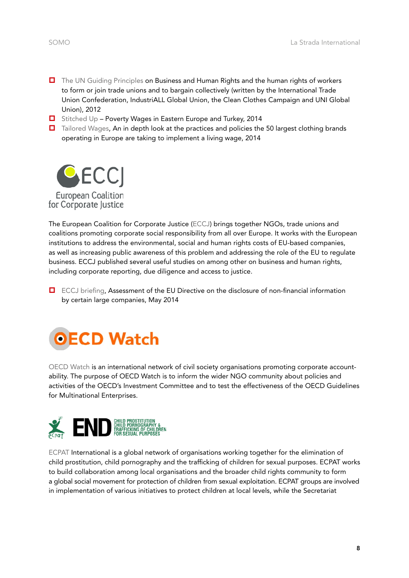- [The UN Guiding Principles](http://www.cleanclothes.org/resources/publications/2012-11-22-ituc-industriall-ccc.pdf/view) on Business and Human Rights and the human rights of workers to form or join trade unions and to bargain collectively (written by the International Trade Union Confederation, IndustriALL Global Union, the Clean Clothes Campaign and UNI Global Union), 2012
- $\Box$  [Stitched Up](http://www.cleanclothes.org/livingwage/stitched-up) Poverty Wages in Eastern Europe and Turkey, 2014
- $\Box$  [Tailored Wages,](http://www.cleanclothes.org/resources/publications/2012-11-22-ituc-industriall-ccc.pdf/view) An in depth look at the practices and policies the 50 largest clothing brands operating in Europe are taking to implement a living wage, 2014



The European Coalition for Corporate Justice ([ECCJ\)](http://www.corporatejustice.org/-about-eccj,012-.html?lang=en) brings together NGOs, trade unions and coalitions promoting corporate social responsibility from all over Europe. It works with the European institutions to address the environmental, social and human rights costs of EU-based companies, as well as increasing public awareness of this problem and addressing the role of the EU to regulate business. ECCJ published several useful studies on among other on business and human rights, including corporate reporting, due diligence and access to justice.

 [ECCJ briefing,](http://business-humanrights.org/sites/default/files/media/documents/eccj-assessment-eu-non-financial-reporting-may-2104.pdf) Assessment of the EU Directive on the disclosure of non-financial information by certain large companies, May 2014



[OECD Watch](http://oecdwatch.org/publications-en/Publication_4201) is an international network of civil society organisations promoting corporate accountability. The purpose of OECD Watch is to inform the wider NGO community about policies and activities of the OECD's Investment Committee and to test the effectiveness of the OECD Guidelines for Multinational Enterprises.



[ECPAT](http://www.ecpat.net/resources#category-training-resources-and-toolkits) International is a global network of organisations working together for the elimination of child prostitution, child pornography and the trafficking of children for sexual purposes. ECPAT works to build collaboration among local organisations and the broader child rights community to form a [global social movement](http://ecpat.net/where-we-are) for protection of children from sexual exploitation. ECPAT groups are involved in implementation of various initiatives to protect children at local levels, while the Secretariat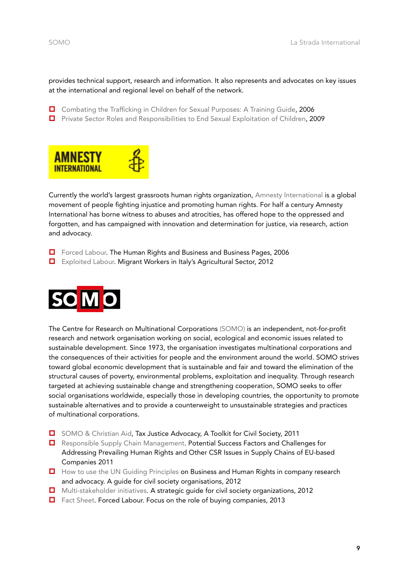provides technical support, research and information. It also represents and advocates on key issues at the international and regional level on behalf of the network.

- [Combating the Trafficking in Children for Sexual Purposes: A Training Guide](http://www.ecpat.net/sites/default/files/trafficking_trainingguide_eng.pdf), 2006
- **D** [Private Sector Roles and Responsibilities to End Sexual Exploitation of Children,](http://www.ecpat.net/sites/default/files/private_sector_roles_and_resp.pdf) 2009



Currently the world's largest grassroots human rights organization, [Amnesty International](https://www.amnesty.org/en/) is a global movement of people fighting injustice and promoting human rights. For half a century Amnesty International has borne witness to abuses and atrocities, has offered hope to the oppressed and forgotten, and has campaigned with innovation and determination for justice, via research, action and advocacy.

- [Forced Labour.](o) The Human Rights and Business and Business Pages, 2006
- [Exploited Labour](he Human Rights and Business and Business Pages). Migrant Workers in Italy's Agricultural Sector, 2012



The Centre for Research on Multinational Corporations [\(SOMO\)](http://www.somo.nl/?set_language=en) is an independent, not-for-profit research and network organisation working on social, ecological and economic issues related to sustainable development. Since 1973, the organisation investigates multinational corporations and the consequences of their activities for people and the environment around the world. SOMO strives toward global economic development that is sustainable and fair and toward the elimination of the structural causes of poverty, environmental problems, exploitation and inequality. Through research targeted at achieving sustainable change and strengthening cooperation, SOMO seeks to offer social organisations worldwide, especially those in developing countries, the opportunity to promote sustainable alternatives and to provide a counterweight to unsustainable strategies and practices of multinational corporations.

- [SOMO & Christian Aid](http://taxjustice.somo.nl/getting-active-on-tax/engaging-with-corporates/), Tax Justice Advocacy, A Toolkit for Civil Society, 2011
- **E** [Responsible Supply Chain Management.](http://www.somo.nl/publications-en/Publication_3899) Potential Success Factors and Challenges for Addressing Prevailing Human Rights and Other CSR Issues in Supply Chains of EU-based Companies 2011
- [How to use the UN Guiding Principles](http://www.somo.nl/publications-en/Publication_3899) on Business and Human Rights in company research and advocacy. A guide for civil society organisations, 2012
- **D** [Multi-stakeholder initiatives](http://somo.nl/publications-en/Publication_3786). A strategic guide for civil society organizations, 2012
- [Fact Sheet.](http://www.somo.nl/publications-en/Publication_3991) Forced Labour. Focus on the role of buying companies, 2013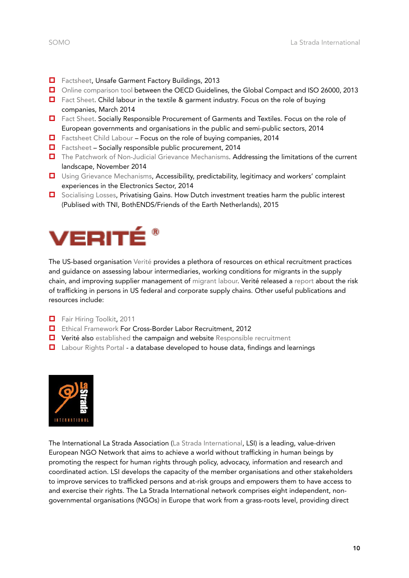- 
- **[Factsheet,](http://www.somo.nl/publications-en/Publication_3979) Unsafe Garment Factory Buildings, 2013**
- [Online comparison tool](http://www.somo.nl/dossiers-en/csr/corporate-responsibility-instruments) between the OECD Guidelines, the Global Compact and ISO 26000, 2013
- □ [Fact Sheet.](http://www.somo.nl/publications-en/Publication_4058/) Child labour in the textile & garment industry. Focus on the role of buying companies, March 2014
- [Fact Sheet.](http://www.somo.nl/news-nl/socially-responsible-public-procurement-of-garments-and-textiles-in-europe/at_download/attachment) Socially Responsible Procurement of Garments and Textiles. Focus on the role of European governments and organisations in the public and semi-public sectors, 2014
- $\Box$  [Factsheet Child Labour](http://www.somo.nl/publications-en/Publication_4058/) Focus on the role of buying companies, 2014
- $\Box$  [Factsheet](http://www.somo.nl/publications-en/Publication_4161)  Socially responsible public procurement, 2014
- $\Box$  [The Patchwork of Non-Judicial Grievance Mechanisms.](http://somo.nl/news-en/the-patchwork-of-non-judicial-grievance-mechanisms) Addressing the limitations of the current landscape, November 2014
- **U** [Using Grievance Mechanisms,](http://www.somo.nl/publications-en/Publication_4059/) Accessibility, predictability, legitimacy and workers' complaint experiences in the Electronics Sector, 2014
- □ [Socialising Losses,](http://www.tni.org/briefing/socialising-losses-privatising-gains) Privatising Gains. How Dutch investment treaties harm the public interest (Publised with TNI, BothENDS/Friends of the Earth Netherlands), 2015



The US-based organisation [Verité](http://verite.org/) provides a plethora of resources on ethical recruitment practices and guidance on assessing labour intermediaries, working conditions for migrants in the supply chain, and improving supplier management of [migrant labour](http://verite.org/the-cost-of-a-job/). Verité released a [report](http://www.state.gov/documents/organization/237137.pdf) about the risk of trafficking in persons in US federal and corporate supply chains. Other useful publications and resources include:

- [Fair Hiring Toolkit](http://www.verite.org/fair-hiring-toolkit), 2011
- [Ethical Framework](http://www.verite.org/ethical-framework-for-intl-recruitment) For Cross-Border Labor Recruitment, 2012
- $\Box$  Verité also [established](http://www.responsiblerecruitment.org/about) the campaign and website [Responsible recruitment](http://www.responsiblerecruitment.org/about)
- [Labour Rights Portal](http://verite.org/labor-rights/#/)  a database developed to house data, findings and learnings



The International La Strada Association [\(La Strada International,](http://lastradainternational.org/) LSI) is a leading, value-driven European NGO Network that aims to achieve a world without trafficking in human beings by promoting the respect for human rights through policy, advocacy, information and research and coordinated action. LSI develops the capacity of the member organisations and other stakeholders to improve services to trafficked persons and at-risk groups and empowers them to have access to and exercise their rights. The La Strada International network comprises eight independent, nongovernmental organisations (NGOs) in Europe that work from a grass-roots level, providing direct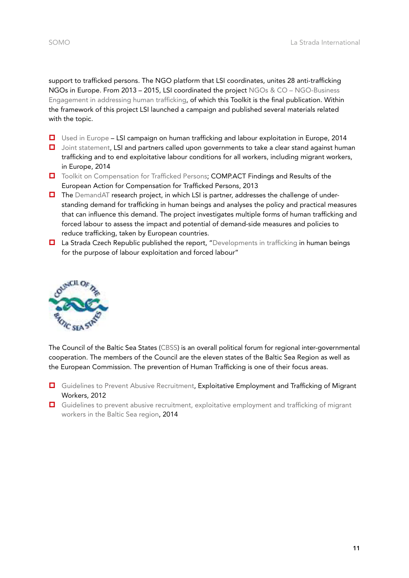support to trafficked persons. The NGO platform that LSI coordinates, unites 28 anti-trafficking NGOs in Europe. From 2013 – 2015, LSI coordinated the project [NGOs & CO – NGO-Business](http://lastradainternational.org/about-lsi/projects/ngos+co)  [Engagement in addressing human trafficking](http://lastradainternational.org/about-lsi/projects/ngos+co), of which this Toolkit is the final publication. Within the framework of this project LSI launched a campaign and published several materials related with the topic.

- [Used in Europe](http://usedineurope.com/)  LSI campaign on human trafficking and labour exploitation in Europe, 2014
- □ [Joint statement,](http://lastradainternational.org/news-publications/lsi-statement-on-eu-anti-trafficking-day) LSI and partners called upon governments to take a clear stand against human trafficking and to end exploitative labour conditions for all workers, including migrant workers, in Europe, 2014
- □ [Toolkit on Compensation for Trafficked Persons](http://lastradainternational.org/lsidocs/Findings and results of Comp.Act.pdf); COMP.ACT Findings and Results of the European Action for Compensation for Trafficked Persons, 2013
- $\Box$  The [DemandAT](http://www.demandat.eu/) research project, in which LSI is partner, addresses the challenge of understanding demand for trafficking in human beings and analyses the policy and practical measures that can influence this demand. The project investigates multiple forms of human trafficking and forced labour to assess the impact and potential of demand-side measures and policies to reduce trafficking, taken by European countries.
- La Strada Czech Republic published the report, "[Developments in trafficking](http://lastradainternational.org/lsidocs/Trafficking in human beings for the purpose of labour exploitation.pdf) in human beings for the purpose of labour exploitation and forced labour"



The Council of the Baltic Sea States ([CBSS](http://www.cbss.org/council/)) is an overall political forum for regional inter-governmental cooperation. The members of the Council are the eleven states of the Baltic Sea Region as well as the European Commission. The prevention of Human Trafficking is one of their focus areas.

- [Guidelines to Prevent Abusive Recruitment](http://www.cbss.org/wp-content/uploads/2012/11/ADSTRINGO-Guidelines-In-Brief.pdf), Exploitative Employment and Trafficking of Migrant Workers, 2012
- [Guidelines to prevent abusive recruitment, exploitative employment and trafficking of migrant](http://www.cbss.org/guidelines-labour-exploitation-baltic-sea-region/)  [workers in the Baltic Sea region](http://www.cbss.org/guidelines-labour-exploitation-baltic-sea-region/), 2014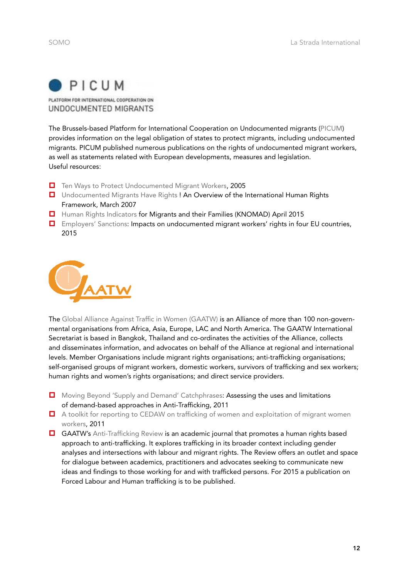

PLATFORM FOR INTERNATIONAL COOPERATION ON UNDOCUMENTED MIGRANTS

The Brussels-based Platform for International Cooperation on Undocumented migrants ([PICUM\)](http://picum.org/en) provides information on the legal obligation of states to protect migrants, including undocumented migrants. PICUM published numerous publications on the rights of undocumented migrant workers, as well as statements related with European developments, measures and legislation. Useful resources:

- [Ten Ways to Protect Undocumented Migrant Workers,](http://picum.org/picum.org/uploads/publication/Ten Ways to Protect Undocumented Migrant Workers EN.pdf) 2005
- **U** [Undocumented Migrants Have Rights](http://picum.org/picum.org/uploads/file_/Undocumented_Migrants_Have_Rights_1.pdf) ! An Overview of the International Human Rights Framework, March 2007
- [Human Rights Indicators](http://picum.org/picum.org/uploads/publication/KNOMAD Working Paper 5 Human Rights Indicators for Migrants.pdf) for Migrants and their Families (KNOMAD) April 2015
- [Employers' Sanctions:](http://picum.org/picum.org/uploads/publication/EmployerSanctions_Final.pdf) Impacts on undocumented migrant workers' rights in four EU countries, 2015



The [Global Alliance Against Traffic in Women \(GAATW\)](http://www.gaatw.org/http:/www.gaatw.org/) is an Alliance of more than 100 non-governmental organisations from Africa, Asia, Europe, LAC and North America. The GAATW International Secretariat is based in Bangkok, Thailand and co-ordinates the activities of the Alliance, collects and disseminates information, and advocates on behalf of the Alliance at regional and international levels. Member Organisations include migrant rights organisations; anti-trafficking organisations; self-organised groups of migrant workers, domestic workers, survivors of trafficking and sex workers; human rights and women's rights organisations; and direct service providers.

- [Moving Beyond 'Supply and Demand' Catchphrases](http://gaatw.org/publications/MovingBeyond_SupplyandDemand_GAATW2011.pdf): Assessing the uses and limitations of demand-based approaches in Anti-Trafficking, 2011
- A toolkit for reporting to CEDAW on trafficking of women and exploitation of migrant women [workers](http://www.gaatw.org/publications/A_Toolkit_for_Reporting_to_CEDAW_GAATW2011.pdf), 2011
- GAATW's [Anti-Trafficking Review](http://gaatw.org/resources/anti-trafficking-review) is an academic journal that promotes a human rights based approach to anti-trafficking. It explores trafficking in its broader context including gender analyses and intersections with labour and migrant rights. The Review offers an outlet and space for dialogue between academics, practitioners and advocates seeking to communicate new ideas and findings to those working for and with trafficked persons. For 2015 a publication on Forced Labour and Human trafficking is to be published.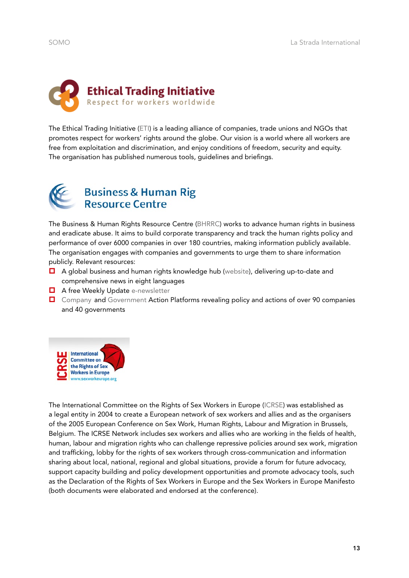

The Ethical Trading Initiative ([ETI\)](http://www.ethicaltrade.org/) is a leading alliance of companies, trade unions and NGOs that promotes respect for workers' rights around the globe. Our vision is a world where all workers are free from exploitation and discrimination, and enjoy conditions of freedom, security and equity. The organisation has published numerous tools, guidelines and briefings.



# **Business & Human Rig<br>Resource Centre**

The Business & Human Rights Resource Centre [\(BHRRC\)](http://business-humanrights.org/) works to advance human rights in business and eradicate abuse. It aims to build corporate transparency and track the human rights policy and performance of over 6000 companies in over 180 countries, making information publicly available. The organisation engages with companies and governments to urge them to share information publicly. Relevant resources:

- A global business and human rights knowledge hub ([website](http://business-humanrights.org/en/guide-to-the-resource-centre-website)), delivering up-to-date and comprehensive news in eight languages
- A free Weekly Update [e-newsletter](http://business-humanrights.org/en/weekly-updates-archive-including-company-responses)
- [Company](http://business-humanrights.org/en/company-action-platform) and [Government](http://business-humanrights.org/en/government-action-platform) Action Platforms revealing policy and actions of over 90 companies and 40 governments



The International Committee on the Rights of Sex Workers in Europe [\(ICRSE\)](http://www.sexworkeurope.org/) was established as a legal entity in 2004 to create a European network of sex workers and allies and as the organisers of the 2005 European Conference on Sex Work, Human Rights, Labour and Migration in Brussels, Belgium. The ICRSE Network includes sex workers and allies who are working in the fields of health, human, labour and migration rights who can challenge repressive policies around sex work, migration and trafficking, lobby for the rights of sex workers through cross-communication and information sharing about local, national, regional and global situations, provide a forum for future advocacy, support capacity building and policy development opportunities and promote advocacy tools, such as the Declaration of the Rights of Sex Workers in Europe and the Sex Workers in Europe Manifesto (both documents were elaborated and endorsed at the conference).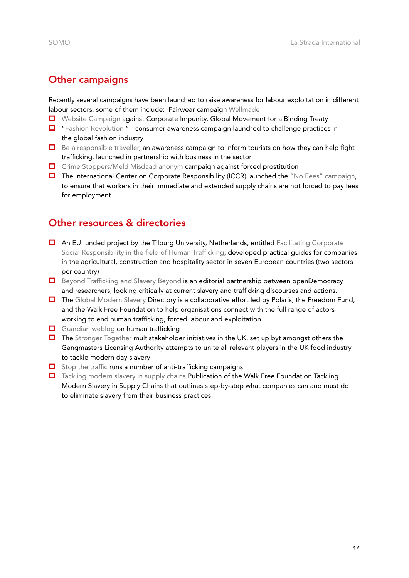#### <span id="page-15-0"></span>Other campaigns

Recently several campaigns have been launched to raise awareness for labour exploitation in different labour sectors. some of them include: Fairwear campaign [Wellmade](http://www.wellmade.org/)

- [Website Campaign](http://www.stopcorporateimpunity.org/?p=5424) against Corporate Impunity, Global Movement for a Binding Treaty
- $\Box$  ["Fashion Revolution](http://www.fashionrevolution.org/home) " consumer awareness campaign launched to challenge practices in the global fashion industry
- $\Box$  [Be a responsible traveller](http://www.bearesponsibletraveller.org/), an awareness campaign to inform tourists on how they can help fight trafficking, launched in partnership with business in the sector
- **D** [Crime Stoppers/Meld Misdaad anonym](http://www.meldmisdaadanoniem.nl/english) campaign against forced prostitution
- $\Box$  The International Center on Corporate Responsibility (ICCR) launched the ["No Fees" campaign](http://www.iccr.org/no-fees-initiative), to ensure that workers in their immediate and extended supply chains are not forced to pay fees for employment

#### Other resources & directories

- An EU funded project by the Tilburg University, Netherlands, entitled Facilitating Corporate [Social Responsibility in the field of Human Trafficking,](https://ec.europa.eu/anti-trafficking/eu-projects/facilitating-corporate-social-responsibility-field-human-trafficking_en) developed practical guides for companies in the agricultural, construction and hospitality sector in seven European countries (two sectors per country)
- [Beyond Trafficking and Slavery Beyond](https://www.opendemocracy.net/beyondslavery) is an editorial partnership between openDemocracy and researchers, looking critically at current slavery and trafficking discourses and actions.
- The [Global Modern Slavery](http://globalmodernslavery.org/) Directory is a collaborative effort led by Polaris, the Freedom Fund, and the Walk Free Foundation to help organisations connect with the full range of actors working to end human trafficking, forced labour and exploitation
- [Guardian weblog](http://www.theguardian.com/sustainable-business/modern-slavery-sedex-laws-forced-labour-action-government) on human trafficking
- $\Box$  The [Stronger Together](http://stronger2gether.org/) multistakeholder initiatives in the UK, set up byt amongst others the Gangmasters Licensing Authority attempts to unite all relevant players in the UK food industry to tackle modern day slavery
- $\Box$  [Stop the traffic](http://www.stopthetraffik.org/library/campaign/68) runs a number of anti-trafficking campaigns
- □ [Tackling modern slavery in supply chains](http://www.walkfree.org/business/wp-content/themes/guide/images/TacklingModernSlaveryInSupplyChains-14.pdf) Publication of the Walk Free Foundation Tackling Modern Slavery in Supply Chains that outlines step-by-step what companies can and must do to eliminate slavery from their business practices